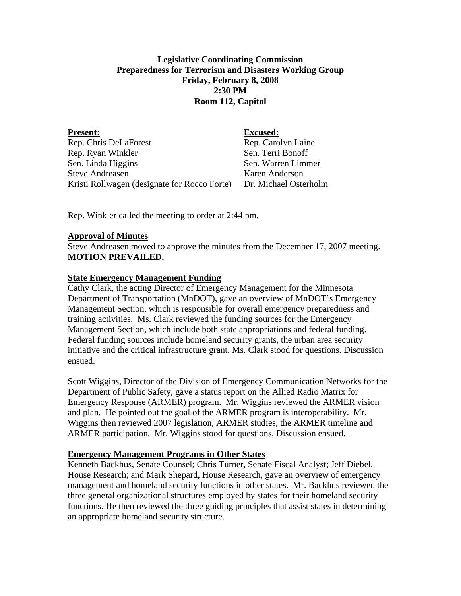# **Legislative Coordinating Commission Preparedness for Terrorism and Disasters Working Group Friday, February 8, 2008 2:30 PM Room 112, Capitol**

| <b>Excused:</b>       |
|-----------------------|
| Rep. Carolyn Laine    |
| Sen. Terri Bonoff     |
| Sen. Warren Limmer    |
| Karen Anderson        |
| Dr. Michael Osterholm |
|                       |

Rep. Winkler called the meeting to order at 2:44 pm.

### **Approval of Minutes**

Steve Andreasen moved to approve the minutes from the December 17, 2007 meeting. **MOTION PREVAILED.**

### **State Emergency Management Funding**

Cathy Clark, the acting Director of Emergency Management for the Minnesota Department of Transportation (MnDOT), gave an overview of MnDOT's Emergency Management Section, which is responsible for overall emergency preparedness and training activities. Ms. Clark reviewed the funding sources for the Emergency Management Section, which include both state appropriations and federal funding. Federal funding sources include homeland security grants, the urban area security initiative and the critical infrastructure grant. Ms. Clark stood for questions. Discussion ensued.

Scott Wiggins, Director of the Division of Emergency Communication Networks for the Department of Public Safety, gave a status report on the Allied Radio Matrix for Emergency Response (ARMER) program. Mr. Wiggins reviewed the ARMER vision and plan. He pointed out the goal of the ARMER program is interoperability. Mr. Wiggins then reviewed 2007 legislation, ARMER studies, the ARMER timeline and ARMER participation. Mr. Wiggins stood for questions. Discussion ensued.

#### **Emergency Management Programs in Other States**

Kenneth Backhus, Senate Counsel; Chris Turner, Senate Fiscal Analyst; Jeff Diebel, House Research; and Mark Shepard, House Research, gave an overview of emergency management and homeland security functions in other states. Mr. Backhus reviewed the three general organizational structures employed by states for their homeland security functions. He then reviewed the three guiding principles that assist states in determining an appropriate homeland security structure.